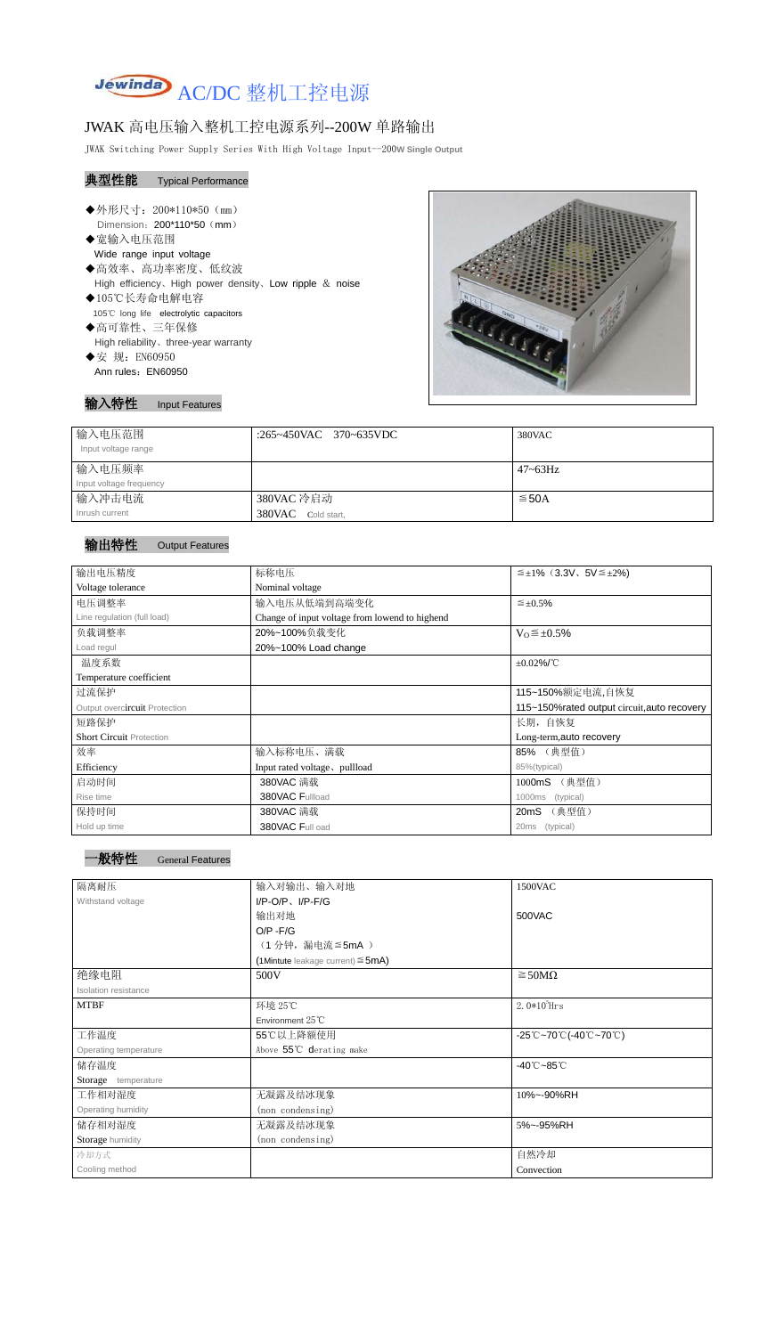

## JWAK 高电压输入整机工控电源系列--200W 单路输出

JWAK Switching Power Supply Series With High Voltage Input--200**W Single Output**

## 典型性能 Typical Performance

- ◆外形尺寸: 200\*110\*50 (mm) Dimension: 200\*110\*50 (mm)
- ◆宽输入电压范围 Wide range input voltage
- ◆高效率、高功率密度、低纹波 High efficiency、High power density、Low ripple & noise ◆105℃长寿命电解电容
- 105℃ long life electrolytic capacitors
- ◆高可靠性、三年保修 High reliability、three-year warranty
- ◆安 规: EN60950 Ann rules: EN60950



输入特性 Input Features

| 输入电压范围<br>Input voltage range | :265~450VAC 370~635VDC | 380VAC       |
|-------------------------------|------------------------|--------------|
| 输入电压频率                        |                        | $47 - 63$ Hz |
| Input voltage frequency       |                        |              |
| 输入冲击电流                        | 380VAC 冷启动             | $≤$ 50A      |
| Inrush current                | 380VAC Cold start,     |              |

## 输出特性 Output Features

| 输出电压精度                          | 标称电压                                             | $\leq \pm 1\%$ (3.3V, 5V $\leq \pm 2\%$ ) |  |  |
|---------------------------------|--------------------------------------------------|-------------------------------------------|--|--|
| Voltage tolerance               | Nominal voltage                                  |                                           |  |  |
| 电压调整率                           | 输入电压从低端到高端变化                                     | $\leq \pm 0.5\%$                          |  |  |
| Line regulation (full load)     | Change of input voltage from lowend to highend   |                                           |  |  |
| 负载调整率                           | 20%~100%负载变化                                     | $V_0 \leq \pm 0.5\%$                      |  |  |
| Load regul                      | 20%~100% Load change                             |                                           |  |  |
| 温度系数                            |                                                  | $\pm 0.02\%$ /°C                          |  |  |
| Temperature coefficient         |                                                  |                                           |  |  |
| 过流保护                            |                                                  | 115~150%额定电流,自恢复                          |  |  |
| Output overcircuit Protection   | 115~150% rated output circuit, auto recovery     |                                           |  |  |
| 短路保护                            | 长期, 自恢复                                          |                                           |  |  |
| <b>Short Circuit Protection</b> |                                                  | Long-term, auto recovery                  |  |  |
| 效率                              | 输入标称电压、满载                                        | 85% (典型值)                                 |  |  |
| Efficiency                      | Input rated voltage, pullload                    | 85%(typical)                              |  |  |
| 启动时间                            | 380VAC 满载                                        | (典型值)<br>1000mS                           |  |  |
| Rise time                       | 380VAC Fullload                                  | 1000ms<br>(typical)                       |  |  |
| 保持时间                            | 380VAC 满载                                        | (典型值)<br>20mS                             |  |  |
| Hold up time                    | 380VAC Full oad<br>20 <sub>ms</sub><br>(typical) |                                           |  |  |

| 隔离耐压                  | 输入对输出、输入对地<br>1500VAC                     |                                                                                       |  |  |
|-----------------------|-------------------------------------------|---------------------------------------------------------------------------------------|--|--|
| Withstand voltage     | $I/P-O/P$ , $I/P$ -F/G                    |                                                                                       |  |  |
|                       | 输出对地                                      | 500VAC                                                                                |  |  |
|                       | $O/P - F/G$                               |                                                                                       |  |  |
|                       | (1分钟,漏电流≦5mA)                             |                                                                                       |  |  |
|                       | $(1$ Mintute leakage current) $\leq$ 5mA) |                                                                                       |  |  |
| 绝缘电阻                  | 500V                                      | $\geq$ 50M $\Omega$                                                                   |  |  |
| Isolation resistance  |                                           |                                                                                       |  |  |
| <b>MTBF</b>           | 环境 25℃                                    | 2. $0*10^5$ Hrs                                                                       |  |  |
|                       | Environment 25°C                          |                                                                                       |  |  |
| 工作温度                  | 55℃以上降额使用                                 | $-25^{\circ}\text{C}-70^{\circ}\text{C}$ (-40 $^{\circ}\text{C}-70^{\circ}\text{C}$ ) |  |  |
| Operating temperature | Above 55°C derating make                  |                                                                                       |  |  |
| 储存温度                  | $-40^{\circ}$ C $-85^{\circ}$ C           |                                                                                       |  |  |
| Storage temperature   |                                           |                                                                                       |  |  |
| 工作相对湿度                | 无凝露及结冰现象                                  | 10%~-90%RH                                                                            |  |  |
| Operating humidity    | (non condensing)                          |                                                                                       |  |  |
| 储存相对湿度                | 无凝露及结冰现象                                  | 5%~-95%RH                                                                             |  |  |
| Storage humidity      | (non condensing)                          |                                                                                       |  |  |
| 冷却方式                  |                                           | 自然冷却                                                                                  |  |  |
| Cooling method        |                                           | Convection                                                                            |  |  |